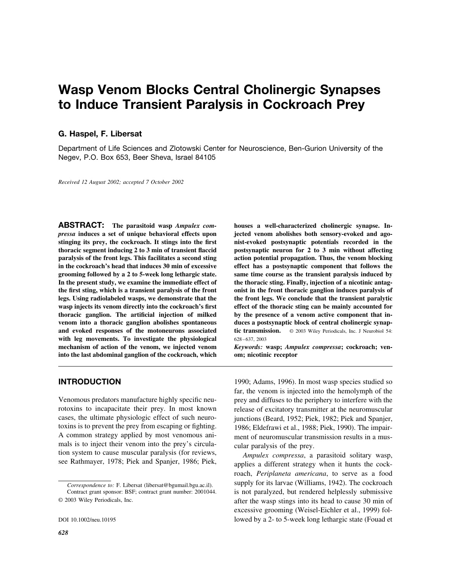# **Wasp Venom Blocks Central Cholinergic Synapses to Induce Transient Paralysis in Cockroach Prey**

## **G. Haspel, F. Libersat**

Department of Life Sciences and Zlotowski Center for Neuroscience, Ben-Gurion University of the Negev, P.O. Box 653, Beer Sheva, Israel 84105

*Received 12 August 2002; accepted 7 October 2002*

**ABSTRACT: The parasitoid wasp** *Ampulex compressa* **induces a set of unique behavioral effects upon stinging its prey, the cockroach. It stings into the first thoracic segment inducing 2 to 3 min of transient flaccid paralysis of the front legs. This facilitates a second sting in the cockroach's head that induces 30 min of excessive grooming followed by a 2 to 5-week long lethargic state. In the present study, we examine the immediate effect of the first sting, which is a transient paralysis of the front legs. Using radiolabeled wasps, we demonstrate that the wasp injects its venom directly into the cockroach's first thoracic ganglion. The artificial injection of milked venom into a thoracic ganglion abolishes spontaneous and evoked responses of the motoneurons associated with leg movements. To investigate the physiological mechanism of action of the venom, we injected venom into the last abdominal ganglion of the cockroach, which**

**houses a well-characterized cholinergic synapse. Injected venom abolishes both sensory-evoked and agonist-evoked postsynaptic potentials recorded in the postsynaptic neuron for 2 to 3 min without affecting action potential propagation. Thus, the venom blocking effect has a postsynaptic component that follows the same time course as the transient paralysis induced by the thoracic sting. Finally, injection of a nicotinic antagonist in the front thoracic ganglion induces paralysis of the front legs. We conclude that the transient paralytic effect of the thoracic sting can be mainly accounted for by the presence of a venom active component that induces a postsynaptic block of central cholinergic synaptic transmission.** © 2003 Wiley Periodicals, Inc. J Neurobiol 54: 628 – 637, 2003

*Keywords:* **wasp;** *Ampulex compressa***; cockroach; venom; nicotinic receptor**

### **INTRODUCTION**

Venomous predators manufacture highly specific neurotoxins to incapacitate their prey. In most known cases, the ultimate physiologic effect of such neurotoxins is to prevent the prey from escaping or fighting. A common strategy applied by most venomous animals is to inject their venom into the prey's circulation system to cause muscular paralysis (for reviews, see Rathmayer, 1978; Piek and Spanjer, 1986; Piek, 1990; Adams, 1996). In most wasp species studied so far, the venom is injected into the hemolymph of the prey and diffuses to the periphery to interfere with the release of excitatory transmitter at the neuromuscular junctions (Beard, 1952; Piek, 1982; Piek and Spanjer, 1986; Eldefrawi et al., 1988; Piek, 1990). The impairment of neuromuscular transmission results in a muscular paralysis of the prey.

*Ampulex compressa*, a parasitoid solitary wasp, applies a different strategy when it hunts the cockroach, *Periplaneta americana*, to serve as a food supply for its larvae (Williams, 1942). The cockroach is not paralyzed, but rendered helplessly submissive after the wasp stings into its head to cause 30 min of excessive grooming (Weisel-Eichler et al., 1999) followed by a 2- to 5-week long lethargic state (Fouad et

*Correspondence to:* F. Libersat (libersat@bgumail.bgu.ac.il). Contract grant sponsor: BSF; contract grant number: 2001044. © 2003 Wiley Periodicals, Inc.

DOI 10.1002/neu.10195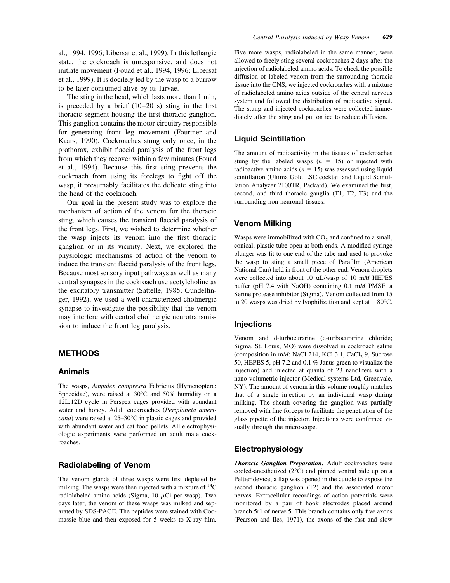al., 1994, 1996; Libersat et al., 1999). In this lethargic state, the cockroach is unresponsive, and does not initiate movement (Fouad et al., 1994, 1996; Libersat et al., 1999). It is docilely led by the wasp to a burrow to be later consumed alive by its larvae.

The sting in the head, which lasts more than 1 min, is preceded by a brief  $(10-20 s)$  sting in the first thoracic segment housing the first thoracic ganglion. This ganglion contains the motor circuitry responsible for generating front leg movement (Fourtner and Kaars, 1990). Cockroaches stung only once, in the prothorax, exhibit flaccid paralysis of the front legs from which they recover within a few minutes (Fouad et al., 1994). Because this first sting prevents the cockroach from using its forelegs to fight off the wasp, it presumably facilitates the delicate sting into the head of the cockroach.

Our goal in the present study was to explore the mechanism of action of the venom for the thoracic sting, which causes the transient flaccid paralysis of the front legs. First, we wished to determine whether the wasp injects its venom into the first thoracic ganglion or in its vicinity. Next, we explored the physiologic mechanisms of action of the venom to induce the transient flaccid paralysis of the front legs. Because most sensory input pathways as well as many central synapses in the cockroach use acetylcholine as the excitatory transmitter (Sattelle, 1985; Gundelfinger, 1992), we used a well-characterized cholinergic synapse to investigate the possibility that the venom may interfere with central cholinergic neurotransmission to induce the front leg paralysis.

## **METHODS**

#### **Animals**

The wasps, *Ampulex compressa* Fabricius (Hymenoptera: Sphecidae), were raised at 30°C and 50% humidity on a 12L:12D cycle in Perspex cages provided with abundant water and honey. Adult cockroaches (*Periplaneta americana*) were raised at 25–30°C in plastic cages and provided with abundant water and cat food pellets. All electrophysiologic experiments were performed on adult male cockroaches.

#### **Radiolabeling of Venom**

The venom glands of three wasps were first depleted by milking. The wasps were then injected with a mixture of  $^{14}C$ radiolabeled amino acids (Sigma,  $10 \mu$ Ci per wasp). Two days later, the venom of these wasps was milked and separated by SDS-PAGE. The peptides were stained with Coomassie blue and then exposed for 5 weeks to X-ray film. Five more wasps, radiolabeled in the same manner, were allowed to freely sting several cockroaches 2 days after the injection of radiolabeled amino acids. To check the possible diffusion of labeled venom from the surrounding thoracic tissue into the CNS, we injected cockroaches with a mixture of radiolabeled amino acids outside of the central nervous system and followed the distribution of radioactive signal. The stung and injected cockroaches were collected immediately after the sting and put on ice to reduce diffusion.

#### **Liquid Scintillation**

The amount of radioactivity in the tissues of cockroaches stung by the labeled wasps  $(n = 15)$  or injected with radioactive amino acids  $(n = 15)$  was assessed using liquid scintillation (Ultima Gold LSC cocktail and Liquid Scintillation Analyzer 2100TR, Packard). We examined the first, second, and third thoracic ganglia (T1, T2, T3) and the surrounding non-neuronal tissues.

#### **Venom Milking**

Wasps were immobilized with  $CO<sub>2</sub>$  and confined to a small, conical, plastic tube open at both ends. A modified syringe plunger was fit to one end of the tube and used to provoke the wasp to sting a small piece of Parafilm (American National Can) held in front of the other end. Venom droplets were collected into about 10  $\mu$ L/wasp of 10 mM HEPES buffer (pH 7.4 with NaOH) containing 0.1 m*M* PMSF, a Serine protease inhibitor (Sigma). Venom collected from 15 to 20 wasps was dried by lyophilization and kept at  $-80^{\circ}$ C.

#### **Injections**

Venom and d-turbocurarine (d-turbocurarine chloride; Sigma, St. Louis, MO) were dissolved in cockroach saline (composition in m*M*: NaCl 214, KCl 3.1, CaCl<sub>2</sub> 9, Sucrose 50, HEPES 5, pH 7.2 and 0.1 % Janus green to visualize the injection) and injected at quanta of 23 nanoliters with a nano-volumetric injector (Medical systems Ltd, Greenvale, NY). The amount of venom in this volume roughly matches that of a single injection by an individual wasp during milking. The sheath covering the ganglion was partially removed with fine forceps to facilitate the penetration of the glass pipette of the injector. Injections were confirmed visually through the microscope.

## **Electrophysiology**

*Thoracic Ganglion Preparation.* Adult cockroaches were cooled-anesthetized (2°C) and pinned ventral side up on a Peltier device; a flap was opened in the cuticle to expose the second thoracic ganglion (T2) and the associated motor nerves. Extracellular recordings of action potentials were monitored by a pair of hook electrodes placed around branch 5r1 of nerve 5. This branch contains only five axons (Pearson and Iles, 1971), the axons of the fast and slow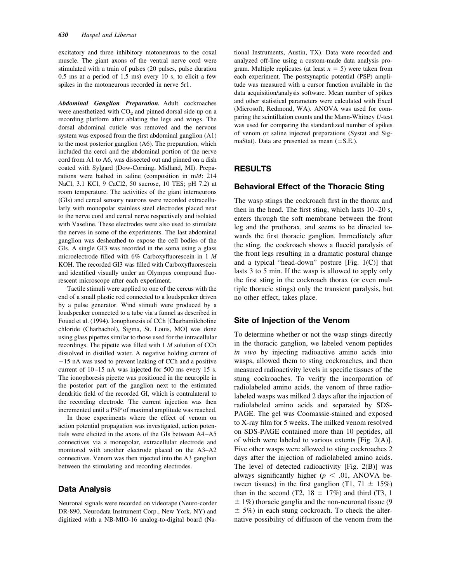excitatory and three inhibitory motoneurons to the coxal muscle. The giant axons of the ventral nerve cord were stimulated with a train of pulses (20 pulses, pulse duration 0.5 ms at a period of 1.5 ms) every 10 s, to elicit a few spikes in the motoneurons recorded in nerve 5r1.

*Abdominal Ganglion Preparation.* Adult cockroaches were anesthetized with  $CO<sub>2</sub>$  and pinned dorsal side up on a recording platform after ablating the legs and wings. The dorsal abdominal cuticle was removed and the nervous system was exposed from the first abdominal ganglion (A1) to the most posterior ganglion (A6). The preparation, which included the cerci and the abdominal portion of the nerve cord from A1 to A6, was dissected out and pinned on a dish coated with Sylgard (Dow-Corning, Midland, MI). Preparations were bathed in saline (composition in m*M*: 214 NaCl, 3.1 KCl, 9 CaCl2, 50 sucrose, 10 TES; pH 7.2) at room temperature. The activities of the giant interneurons (GIs) and cercal sensory neurons were recorded extracellularly with monopolar stainless steel electrodes placed next to the nerve cord and cercal nerve respectively and isolated with Vaseline. These electrodes were also used to stimulate the nerves in some of the experiments. The last abdominal ganglion was desheathed to expose the cell bodies of the GIs. A single GI3 was recorded in the soma using a glass microelectrode filled with 6% Carboxyfluorescein in 1 *M* KOH. The recorded GI3 was filled with Carboxyfluorescein and identified visually under an Olympus compound fluorescent microscope after each experiment.

Tactile stimuli were applied to one of the cercus with the end of a small plastic rod connected to a loudspeaker driven by a pulse generator. Wind stimuli were produced by a loudspeaker connected to a tube via a funnel as described in Fouad et al. (1994). Ionophoresis of CCh [Charbamilcholine chloride (Charbachol), Sigma, St. Louis, MO] was done using glass pipettes similar to those used for the intracellular recordings. The pipette was filled with 1 *M* solution of CCh dissolved in distilled water. A negative holding current of -15 nA was used to prevent leaking of CCh and a positive current of 10-15 nA was injected for 500 ms every 15 s. The ionophoresis pipette was positioned in the neuropile in the posterior part of the ganglion next to the estimated dendritic field of the recorded GI, which is contralateral to the recording electrode. The current injection was then incremented until a PSP of maximal amplitude was reached.

In those experiments where the effect of venom on action potential propagation was investigated, action potentials were elicited in the axons of the GIs between A4 –A5 connectives via a monopolar, extracellular electrode and monitored with another electrode placed on the A3–A2 connectives. Venom was then injected into the A3 ganglion between the stimulating and recording electrodes.

# **Data Analysis**

Neuronal signals were recorded on videotape (Neuro-corder DR-890, Neurodata Instrument Corp., New York, NY) and digitized with a NB-MIO-16 analog-to-digital board (National Instruments, Austin, TX). Data were recorded and analyzed off-line using a custom-made data analysis program. Multiple replicates (at least  $n = 5$ ) were taken from each experiment. The postsynaptic potential (PSP) amplitude was measured with a cursor function available in the data acquisition/analysis software. Mean number of spikes and other statistical parameters were calculated with Excel (Microsoft, Redmond, WA). ANOVA was used for comparing the scintillation counts and the Mann-Whitney *U*-test was used for comparing the standardized number of spikes of venom or saline injected preparations (Systat and SigmaStat). Data are presented as mean  $(\pm S.E.).$ 

## **RESULTS**

## **Behavioral Effect of the Thoracic Sting**

The wasp stings the cockroach first in the thorax and then in the head. The first sting, which lasts  $10-20$  s, enters through the soft membrane between the front leg and the prothorax, and seems to be directed towards the first thoracic ganglion. Immediately after the sting, the cockroach shows a flaccid paralysis of the front legs resulting in a dramatic postural change and a typical "head-down" posture [Fig. 1(C)] that lasts 3 to 5 min. If the wasp is allowed to apply only the first sting in the cockroach thorax (or even multiple thoracic stings) only the transient paralysis, but no other effect, takes place.

#### **Site of Injection of the Venom**

To determine whether or not the wasp stings directly in the thoracic ganglion, we labeled venom peptides *in vivo* by injecting radioactive amino acids into wasps, allowed them to sting cockroaches, and then measured radioactivity levels in specific tissues of the stung cockroaches. To verify the incorporation of radiolabeled amino acids, the venom of three radiolabeled wasps was milked 2 days after the injection of radiolabeled amino acids and separated by SDS-PAGE. The gel was Coomassie-stained and exposed to X-ray film for 5 weeks. The milked venom resolved on SDS-PAGE contained more than 10 peptides, all of which were labeled to various extents [Fig. 2(A)]. Five other wasps were allowed to sting cockroaches 2 days after the injection of radiolabeled amino acids. The level of detected radioactivity [Fig. 2(B)] was always significantly higher ( $p < .01$ , ANOVA between tissues) in the first ganglion (T1,  $71 \pm 15\%$ ) than in the second (T2,  $18 \pm 17\%$ ) and third (T3, 1)  $\pm$  1%) thoracic ganglia and the non-neuronal tissue (9  $\pm$  5%) in each stung cockroach. To check the alternative possibility of diffusion of the venom from the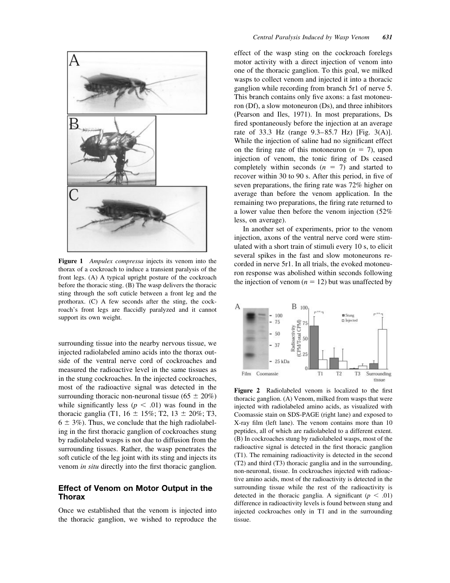

**Figure 1** *Ampulex compressa* injects its venom into the thorax of a cockroach to induce a transient paralysis of the front legs. (A) A typical upright posture of the cockroach before the thoracic sting. (B) The wasp delivers the thoracic sting through the soft cuticle between a front leg and the prothorax. (C) A few seconds after the sting, the cockroach's front legs are flaccidly paralyzed and it cannot support its own weight.

surrounding tissue into the nearby nervous tissue, we injected radiolabeled amino acids into the thorax outside of the ventral nerve cord of cockroaches and measured the radioactive level in the same tissues as in the stung cockroaches. In the injected cockroaches, most of the radioactive signal was detected in the surrounding thoracic non-neuronal tissue (65  $\pm$  20%) while significantly less  $(p < .01)$  was found in the thoracic ganglia (T1,  $16 \pm 15\%$ ; T2,  $13 \pm 20\%$ ; T3,  $6 \pm 3\%$ ). Thus, we conclude that the high radiolabeling in the first thoracic ganglion of cockroaches stung by radiolabeled wasps is not due to diffusion from the surrounding tissues. Rather, the wasp penetrates the soft cuticle of the leg joint with its sting and injects its venom *in situ* directly into the first thoracic ganglion.

# **Effect of Venom on Motor Output in the Thorax**

Once we established that the venom is injected into the thoracic ganglion, we wished to reproduce the effect of the wasp sting on the cockroach forelegs motor activity with a direct injection of venom into one of the thoracic ganglion. To this goal, we milked wasps to collect venom and injected it into a thoracic ganglion while recording from branch 5r1 of nerve 5. This branch contains only five axons: a fast motoneuron (Df), a slow motoneuron (Ds), and three inhibitors (Pearson and Iles, 1971). In most preparations, Ds fired spontaneously before the injection at an average rate of 33.3 Hz (range 9.3– 85.7 Hz) [Fig. 3(A)]. While the injection of saline had no significant effect on the firing rate of this motoneuron  $(n = 7)$ , upon injection of venom, the tonic firing of Ds ceased completely within seconds  $(n = 7)$  and started to recover within 30 to 90 s. After this period, in five of seven preparations, the firing rate was 72% higher on average than before the venom application. In the remaining two preparations, the firing rate returned to a lower value then before the venom injection (52% less, on average).

In another set of experiments, prior to the venom injection, axons of the ventral nerve cord were stimulated with a short train of stimuli every 10 s, to elicit several spikes in the fast and slow motoneurons recorded in nerve 5r1. In all trials, the evoked motoneuron response was abolished within seconds following the injection of venom  $(n = 12)$  but was unaffected by



**Figure 2** Radiolabeled venom is localized to the first thoracic ganglion. (A) Venom, milked from wasps that were injected with radiolabeled amino acids, as visualized with Coomassie stain on SDS-PAGE (right lane) and exposed to X-ray film (left lane). The venom contains more than 10 peptides, all of which are radiolabeled to a different extent. (B) In cockroaches stung by radiolabeled wasps, most of the radioactive signal is detected in the first thoracic ganglion (T1). The remaining radioactivity is detected in the second (T2) and third (T3) thoracic ganglia and in the surrounding, non-neuronal, tissue. In cockroaches injected with radioactive amino acids, most of the radioactivity is detected in the surrounding tissue while the rest of the radioactivity is detected in the thoracic ganglia. A significant  $(p < .01)$ difference in radioactivity levels is found between stung and injected cockroaches only in T1 and in the surrounding tissue.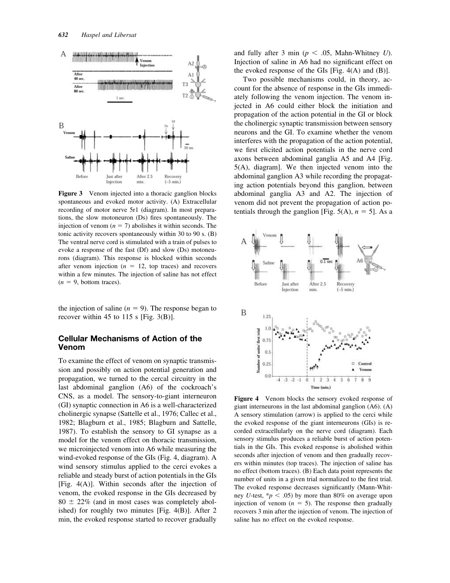

**Figure 3** Venom injected into a thoracic ganglion blocks spontaneous and evoked motor activity. (A) Extracellular recording of motor nerve 5r1 (diagram). In most preparations, the slow motoneuron (Ds) fires spontaneously. The injection of venom  $(n = 7)$  abolishes it within seconds. The tonic activity recovers spontaneously within 30 to 90 s. (B) The ventral nerve cord is stimulated with a train of pulses to evoke a response of the fast (Df) and slow (Ds) motoneurons (diagram). This response is blocked within seconds after venom injection  $(n = 12,$  top traces) and recovers within a few minutes. The injection of saline has not effect  $(n = 9, \text{ bottom traces}).$ 

the injection of saline  $(n = 9)$ . The response began to recover within 45 to 115 s [Fig.  $3(B)$ ].

# **Cellular Mechanisms of Action of the Venom**

To examine the effect of venom on synaptic transmission and possibly on action potential generation and propagation, we turned to the cercal circuitry in the last abdominal ganglion (A6) of the cockroach's CNS, as a model. The sensory-to-giant interneuron (GI) synaptic connection in A6 is a well-characterized cholinergic synapse (Sattelle et al., 1976; Callec et al., 1982; Blagburn et al., 1985; Blagburn and Sattelle, 1987). To establish the sensory to GI synapse as a model for the venom effect on thoracic transmission, we microinjected venom into A6 while measuring the wind-evoked response of the GIs (Fig. 4, diagram). A wind sensory stimulus applied to the cerci evokes a reliable and steady burst of action potentials in the GIs [Fig. 4(A)]. Within seconds after the injection of venom, the evoked response in the GIs decreased by  $80 \pm 22\%$  (and in most cases was completely abolished) for roughly two minutes [Fig. 4(B)]. After 2 min, the evoked response started to recover gradually and fully after 3 min ( $p < .05$ , Mahn-Whitney *U*). Injection of saline in A6 had no significant effect on the evoked response of the GIs [Fig.  $4(A)$  and  $(B)$ ].

Two possible mechanisms could, in theory, account for the absence of response in the GIs immediately following the venom injection. The venom injected in A6 could either block the initiation and propagation of the action potential in the GI or block the cholinergic synaptic transmission between sensory neurons and the GI. To examine whether the venom interferes with the propagation of the action potential, we first elicited action potentials in the nerve cord axons between abdominal ganglia A5 and A4 [Fig. 5(A), diagram]. We then injected venom into the abdominal ganglion A3 while recording the propagating action potentials beyond this ganglion, between abdominal ganglia A3 and A2. The injection of venom did not prevent the propagation of action potentials through the ganglion [Fig.  $5(A)$ ,  $n = 5$ ]. As a



**Figure 4** Venom blocks the sensory evoked response of giant interneurons in the last abdominal ganglion (A6). (A) A sensory stimulation (arrow) is applied to the cerci while the evoked response of the giant interneurons (GIs) is recorded extracellularly on the nerve cord (diagram). Each sensory stimulus produces a reliable burst of action potentials in the GIs. This evoked response is abolished within seconds after injection of venom and then gradually recovers within minutes (top traces). The injection of saline has no effect (bottom traces). (B) Each data point represents the number of units in a given trial normalized to the first trial. The evoked response decreases significantly (Mann-Whitney *U*-test,  $* p < .05$ ) by more than 80% on average upon injection of venom  $(n = 5)$ . The response then gradually recovers 3 min after the injection of venom. The injection of saline has no effect on the evoked response.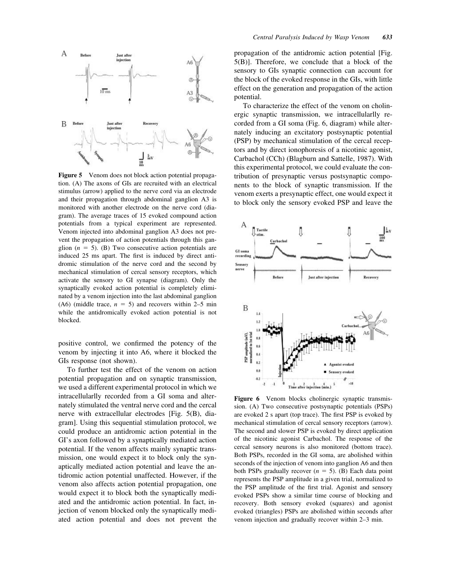

**Figure 5** Venom does not block action potential propagation. (A) The axons of GIs are recruited with an electrical stimulus (arrow) applied to the nerve cord via an electrode and their propagation through abdominal ganglion A3 is monitored with another electrode on the nerve cord (diagram). The average traces of 15 evoked compound action potentials from a typical experiment are represented. Venom injected into abdominal ganglion A3 does not prevent the propagation of action potentials through this ganglion  $(n = 5)$ . (B) Two consecutive action potentials are induced 25 ms apart. The first is induced by direct antidromic stimulation of the nerve cord and the second by mechanical stimulation of cercal sensory receptors, which activate the sensory to GI synapse (diagram). Only the synaptically evoked action potential is completely eliminated by a venom injection into the last abdominal ganglion (A6) (middle trace,  $n = 5$ ) and recovers within 2–5 min while the antidromically evoked action potential is not blocked.

positive control, we confirmed the potency of the venom by injecting it into A6, where it blocked the GIs response (not shown).

To further test the effect of the venom on action potential propagation and on synaptic transmission, we used a different experimental protocol in which we intracellularlly recorded from a GI soma and alternately stimulated the ventral nerve cord and the cercal nerve with extracellular electrodes [Fig. 5(B), diagram]. Using this sequential stimulation protocol, we could produce an antidromic action potential in the GI's axon followed by a synaptically mediated action potential. If the venom affects mainly synaptic transmission, one would expect it to block only the synaptically mediated action potential and leave the antidromic action potential unaffected. However, if the venom also affects action potential propagation, one would expect it to block both the synaptically mediated and the antidromic action potential. In fact, injection of venom blocked only the synaptically mediated action potential and does not prevent the propagation of the antidromic action potential [Fig. 5(B)]. Therefore, we conclude that a block of the sensory to GIs synaptic connection can account for the block of the evoked response in the GIs, with little effect on the generation and propagation of the action potential.

To characterize the effect of the venom on cholinergic synaptic transmission, we intracellularlly recorded from a GI soma (Fig. 6, diagram) while alternately inducing an excitatory postsynaptic potential (PSP) by mechanical stimulation of the cercal receptors and by direct ionophoresis of a nicotinic agonist, Carbachol (CCh) (Blagburn and Sattelle, 1987). With this experimental protocol, we could evaluate the contribution of presynaptic versus postsynaptic components to the block of synaptic transmission. If the venom exerts a presynaptic effect, one would expect it to block only the sensory evoked PSP and leave the



Figure 6 Venom blocks cholinergic synaptic transmission. (A) Two consecutive postsynaptic potentials (PSPs) are evoked 2 s apart (top trace). The first PSP is evoked by mechanical stimulation of cercal sensory receptors (arrow). The second and slower PSP is evoked by direct application of the nicotinic agonist Carbachol. The response of the cercal sensory neurons is also monitored (bottom trace). Both PSPs, recorded in the GI soma, are abolished within seconds of the injection of venom into ganglion A6 and then both PSPs gradually recover  $(n = 5)$ . (B) Each data point represents the PSP amplitude in a given trial, normalized to the PSP amplitude of the first trial. Agonist and sensory evoked PSPs show a similar time course of blocking and recovery. Both sensory evoked (squares) and agonist evoked (triangles) PSPs are abolished within seconds after venom injection and gradually recover within 2–3 min.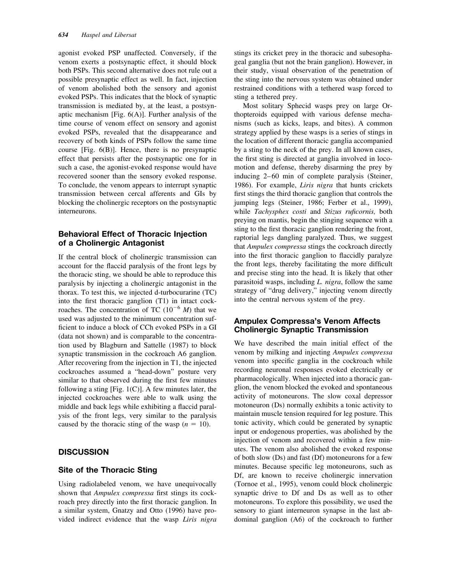agonist evoked PSP unaffected. Conversely, if the venom exerts a postsynaptic effect, it should block both PSPs. This second alternative does not rule out a possible presynaptic effect as well. In fact, injection of venom abolished both the sensory and agonist evoked PSPs. This indicates that the block of synaptic transmission is mediated by, at the least, a postsynaptic mechanism [Fig. 6(A)]. Further analysis of the time course of venom effect on sensory and agonist evoked PSPs, revealed that the disappearance and recovery of both kinds of PSPs follow the same time course [Fig. 6(B)]. Hence, there is no presynaptic effect that persists after the postsynaptic one for in such a case, the agonist-evoked response would have recovered sooner than the sensory evoked response. To conclude, the venom appears to interrupt synaptic transmission between cercal afferents and GIs by blocking the cholinergic receptors on the postsynaptic interneurons.

# **Behavioral Effect of Thoracic Injection of a Cholinergic Antagonist**

If the central block of cholinergic transmission can account for the flaccid paralysis of the front legs by the thoracic sting, we should be able to reproduce this paralysis by injecting a cholinergic antagonist in the thorax. To test this, we injected d-turbocurarine (TC) into the first thoracic ganglion (T1) in intact cockroaches. The concentration of TC  $(10^{-6} M)$  that we used was adjusted to the minimum concentration sufficient to induce a block of CCh evoked PSPs in a GI (data not shown) and is comparable to the concentration used by Blagburn and Sattelle (1987) to block synaptic transmission in the cockroach A6 ganglion. After recovering from the injection in T1, the injected cockroaches assumed a "head-down" posture very similar to that observed during the first few minutes following a sting [Fig.  $1(C)$ ]. A few minutes later, the injected cockroaches were able to walk using the middle and back legs while exhibiting a flaccid paralysis of the front legs, very similar to the paralysis caused by the thoracic sting of the wasp  $(n = 10)$ .

#### **DISCUSSION**

#### **Site of the Thoracic Sting**

Using radiolabeled venom, we have unequivocally shown that *Ampulex compressa* first stings its cockroach prey directly into the first thoracic ganglion. In a similar system, Gnatzy and Otto (1996) have provided indirect evidence that the wasp *Liris nigra* stings its cricket prey in the thoracic and subesophageal ganglia (but not the brain ganglion). However, in their study, visual observation of the penetration of the sting into the nervous system was obtained under restrained conditions with a tethered wasp forced to sting a tethered prey.

Most solitary Sphecid wasps prey on large Orthopteroids equipped with various defense mechanisms (such as kicks, leaps, and bites). A common strategy applied by these wasps is a series of stings in the location of different thoracic ganglia accompanied by a sting to the neck of the prey. In all known cases, the first sting is directed at ganglia involved in locomotion and defense, thereby disarming the prey by inducing 2– 60 min of complete paralysis (Steiner, 1986). For example, *Liris nigra* that hunts crickets first stings the third thoracic ganglion that controls the jumping legs (Steiner, 1986; Ferber et al., 1999), while *Tachysphex costi* and *Stizus ruficornis,* both preying on mantis, begin the stinging sequence with a sting to the first thoracic ganglion rendering the front, raptorial legs dangling paralyzed. Thus, we suggest that *Ampulex compressa* stings the cockroach directly into the first thoracic ganglion to flaccidly paralyze the front legs, thereby facilitating the more difficult and precise sting into the head. It is likely that other parasitoid wasps, including *L. nigra*, follow the same strategy of "drug delivery," injecting venom directly into the central nervous system of the prey.

## **Ampulex Compressa's Venom Affects Cholinergic Synaptic Transmission**

We have described the main initial effect of the venom by milking and injecting *Ampulex compressa* venom into specific ganglia in the cockroach while recording neuronal responses evoked electrically or pharmacologically. When injected into a thoracic ganglion, the venom blocked the evoked and spontaneous activity of motoneurons. The slow coxal depressor motoneuron (Ds) normally exhibits a tonic activity to maintain muscle tension required for leg posture. This tonic activity, which could be generated by synaptic input or endogenous properties, was abolished by the injection of venom and recovered within a few minutes. The venom also abolished the evoked response of both slow (Ds) and fast (Df) motoneurons for a few minutes. Because specific leg motoneurons, such as Df, are known to receive cholinergic innervation (Tornoe et al., 1995), venom could block cholinergic synaptic drive to Df and Ds as well as to other motoneurons. To explore this possibility, we used the sensory to giant interneuron synapse in the last abdominal ganglion (A6) of the cockroach to further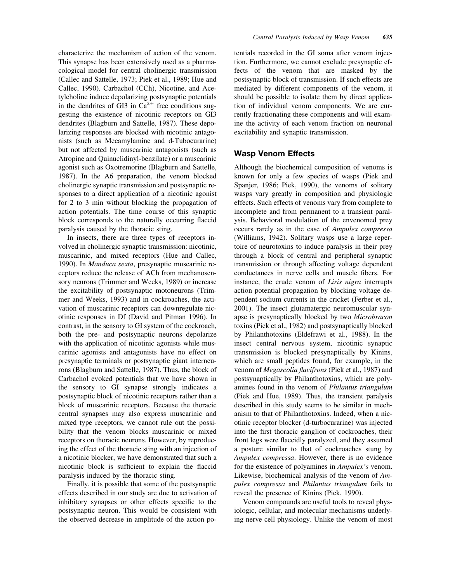characterize the mechanism of action of the venom. This synapse has been extensively used as a pharmacological model for central cholinergic transmission (Callec and Sattelle, 1973; Piek et al., 1989; Hue and Callec, 1990). Carbachol (CCh), Nicotine, and Acetylcholine induce depolarizing postsynaptic potentials in the dendrites of GI3 in  $Ca^{2+}$  free conditions suggesting the existence of nicotinic receptors on GI3 dendrites (Blagburn and Sattelle, 1987). These depolarizing responses are blocked with nicotinic antagonists (such as Mecamylamine and d-Tubocurarine) but not affected by muscarinic antagonists (such as Atropine and Quinuclidinyl-benzilate) or a muscarinic agonist such as Oxotremorine (Blagburn and Sattelle, 1987). In the A6 preparation, the venom blocked cholinergic synaptic transmission and postsynaptic responses to a direct application of a nicotinic agonist for 2 to 3 min without blocking the propagation of action potentials. The time course of this synaptic block corresponds to the naturally occurring flaccid paralysis caused by the thoracic sting.

In insects, there are three types of receptors involved in cholinergic synaptic transmission: nicotinic, muscarinic, and mixed receptors (Hue and Callec, 1990). In *Manduca sexta*, presynaptic muscarinic receptors reduce the release of ACh from mechanosensory neurons (Trimmer and Weeks, 1989) or increase the excitability of postsynaptic motoneurons (Trimmer and Weeks, 1993) and in cockroaches, the activation of muscarinic receptors can downregulate nicotinic responses in Df (David and Pitman 1996). In contrast, in the sensory to GI system of the cockroach, both the pre- and postsynaptic neurons depolarize with the application of nicotinic agonists while muscarinic agonists and antagonists have no effect on presynaptic terminals or postsynaptic giant interneurons (Blagburn and Sattelle, 1987). Thus, the block of Carbachol evoked potentials that we have shown in the sensory to GI synapse strongly indicates a postsynaptic block of nicotinic receptors rather than a block of muscarinic receptors. Because the thoracic central synapses may also express muscarinic and mixed type receptors, we cannot rule out the possibility that the venom blocks muscarinic or mixed receptors on thoracic neurons. However, by reproducing the effect of the thoracic sting with an injection of a nicotinic blocker, we have demonstrated that such a nicotinic block is sufficient to explain the flaccid paralysis induced by the thoracic sting.

Finally, it is possible that some of the postsynaptic effects described in our study are due to activation of inhibitory synapses or other effects specific to the postsynaptic neuron. This would be consistent with the observed decrease in amplitude of the action potentials recorded in the GI soma after venom injection. Furthermore, we cannot exclude presynaptic effects of the venom that are masked by the postsynaptic block of transmission. If such effects are mediated by different components of the venom, it should be possible to isolate them by direct application of individual venom components. We are currently fractionating these components and will examine the activity of each venom fraction on neuronal excitability and synaptic transmission.

## **Wasp Venom Effects**

Although the biochemical composition of venoms is known for only a few species of wasps (Piek and Spanjer, 1986; Piek, 1990), the venoms of solitary wasps vary greatly in composition and physiologic effects. Such effects of venoms vary from complete to incomplete and from permanent to a transient paralysis. Behavioral modulation of the envenomed prey occurs rarely as in the case of *Ampulex compressa* (Williams, 1942). Solitary wasps use a large repertoire of neurotoxins to induce paralysis in their prey through a block of central and peripheral synaptic transmission or through affecting voltage dependent conductances in nerve cells and muscle fibers. For instance, the crude venom of *Liris nigra* interrupts action potential propagation by blocking voltage dependent sodium currents in the cricket (Ferber et al., 2001). The insect glutamatergic neuromuscular synapse is presynaptically blocked by two *Microbracon* toxins (Piek et al., 1982) and postsynaptically blocked by Philanthotoxins (Eldefrawi et al., 1988). In the insect central nervous system, nicotinic synaptic transmission is blocked presynaptically by Kinins, which are small peptides found, for example, in the venom of *Megascolia flavifrons* (Piek et al., 1987) and postsynaptically by Philanthotoxins, which are polyamines found in the venom of *Philantus triangulum* (Piek and Hue, 1989). Thus, the transient paralysis described in this study seems to be similar in mechanism to that of Philanthotoxins. Indeed, when a nicotinic receptor blocker (d-turbocurarine) was injected into the first thoracic ganglion of cockroaches, their front legs were flaccidly paralyzed, and they assumed a posture similar to that of cockroaches stung by *Ampulex compressa*. However, there is no evidence for the existence of polyamines in *Ampulex's* venom. Likewise, biochemical analysis of the venom of *Ampulex compressa* and *Philantus triangulum* fails to reveal the presence of Kinins (Piek, 1990).

Venom compounds are useful tools to reveal physiologic, cellular, and molecular mechanisms underlying nerve cell physiology. Unlike the venom of most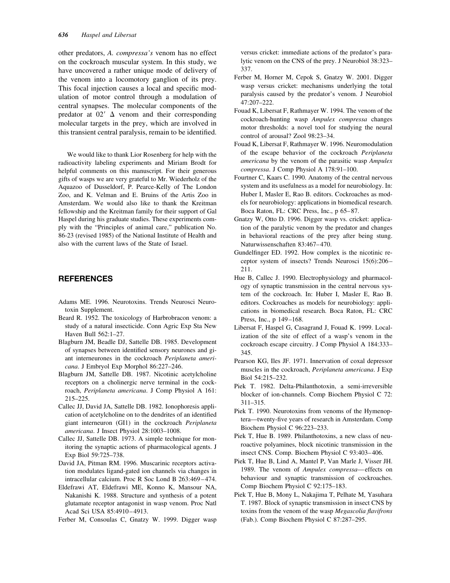other predators, *A. compressa's* venom has no effect on the cockroach muscular system. In this study, we have uncovered a rather unique mode of delivery of the venom into a locomotory ganglion of its prey. This focal injection causes a local and specific modulation of motor control through a modulation of central synapses. The molecular components of the predator at  $02'$   $\Delta$  venom and their corresponding molecular targets in the prey, which are involved in this transient central paralysis, remain to be identified.

We would like to thank Lior Rosenberg for help with the radioactivity labeling experiments and Miriam Brodt for helpful comments on this manuscript. For their generous gifts of wasps we are very grateful to Mr. Wiederholz of the Aquazoo of Dusseldorf, P. Pearce-Kelly of The London Zoo, and K. Velman and E. Bruins of the Artis Zoo in Amsterdam. We would also like to thank the Kreitman fellowship and the Kreitman family for their support of Gal Haspel during his graduate studies. These experiments comply with the "Principles of animal care," publication No. 86-23 (revised 1985) of the National Institute of Health and also with the current laws of the State of Israel.

# **REFERENCES**

- Adams ME. 1996. Neurotoxins. Trends Neurosci Neurotoxin Supplement.
- Beard R. 1952. The toxicology of Harbrobracon venom: a study of a natural insecticide. Conn Agric Exp Sta New Haven Bull 562:1–27.
- Blagburn JM, Beadle DJ, Sattelle DB. 1985. Development of synapses between identified sensory neurones and giant interneurones in the cockroach *Periplaneta americana*. J Embryol Exp Morphol 86:227–246.
- Blagburn JM, Sattelle DB. 1987. Nicotinic acetylcholine receptors on a cholinergic nerve terminal in the cockroach, *Periplaneta americana*. J Comp Physiol A 161: 215–225.
- Callec JJ, David JA, Sattelle DB. 1982. Ionophoresis application of acetylcholine on to the dendrites of an identified giant interneuron (GI1) in the cockroach *Periplaneta americana*. J Insect Physiol 28:1003–1008.
- Callec JJ, Sattelle DB. 1973. A simple technique for monitoring the synaptic actions of pharmacological agents. J Exp Biol 59:725–738.
- David JA, Pitman RM. 1996. Muscarinic receptors activation modulates ligand-gated ion channels via changes in intracellular calcium. Proc R Soc Lond B 263:469 – 474.
- Eldefrawi AT, Eldefrawi ME, Konno K, Mansour NA, Nakanishi K. 1988. Structure and synthesis of a potent glutamate receptor antagonist in wasp venom. Proc Natl Acad Sci USA 85:4910-4913.

Ferber M, Consoulas C, Gnatzy W. 1999. Digger wasp

versus cricket: immediate actions of the predator's paralytic venom on the CNS of the prey. J Neurobiol 38:323– 337.

- Ferber M, Horner M, Cepok S, Gnatzy W. 2001. Digger wasp versus cricket: mechanisms underlying the total paralysis caused by the predator's venom. J Neurobiol 47:207–222.
- Fouad K, Libersat F, Rathmayer W. 1994. The venom of the cockroach-hunting wasp *Ampulex compressa* changes motor thresholds: a novel tool for studying the neural control of arousal? Zool 98:23–34.
- Fouad K, Libersat F, Rathmayer W. 1996. Neuromodulation of the escape behavior of the cockroach *Periplaneta americana* by the venom of the parasitic wasp *Ampulex compressa*. J Comp Physiol A 178:91–100.
- Fourtner C, Kaars C. 1990. Anatomy of the central nervous system and its usefulness as a model for neurobiology. In: Huber I, Masler E, Rao B. editors. Cockroaches as models for neurobiology: applications in biomedical research. Boca Raton, FL: CRC Press, Inc., p 65-87.
- Gnatzy W, Otto D. 1996. Digger wasp vs. cricket: application of the paralytic venom by the predator and changes in behavioral reactions of the prey after being stung. Naturwissenschaften 83:467– 470.
- Gundelfinger ED. 1992. How complex is the nicotinic receptor system of insects? Trends Neurosci 15(6):206 – 211.
- Hue B, Callec J. 1990. Electrophysiology and pharmacology of synaptic transmission in the central nervous system of the cockroach. In: Huber I, Masler E, Rao B. editors. Cockroaches as models for neurobiology: applications in biomedical research. Boca Raton, FL: CRC Press, Inc., p 149 –168.
- Libersat F, Haspel G, Casagrand J, Fouad K. 1999. Localization of the site of effect of a wasp's venom in the cockroach escape circuitry. J Comp Physiol A 184:333– 345.
- Pearson KG, Iles JF. 1971. Innervation of coxal depressor muscles in the cockroach, *Periplaneta americana*. J Exp Biol 54:215–232.
- Piek T. 1982. Delta-Philanthotoxin, a semi-irreversible blocker of ion-channels. Comp Biochem Physiol C 72: 311–315.
- Piek T. 1990. Neurotoxins from venoms of the Hymenoptera—twenty-five years of research in Amsterdam. Comp Biochem Physiol C 96:223–233.
- Piek T, Hue B. 1989. Philanthotoxins, a new class of neuroactive polyamines, block nicotinic transmission in the insect CNS. Comp. Biochem Physiol C 93:403– 406.
- Piek T, Hue B, Lind A, Mantel P, Van Marle J, Visser JH. 1989. The venom of *Ampulex compressa*— effects on behaviour and synaptic transmission of cockroaches. Comp Biochem Physiol C 92:175–183.
- Piek T, Hue B, Mony L, Nakajima T, Pelhate M, Yasuhara T. 1987. Block of synaptic transmission in insect CNS by toxins from the venom of the wasp *Megascolia flavifrons* (Fab.). Comp Biochem Physiol C 87:287–295.